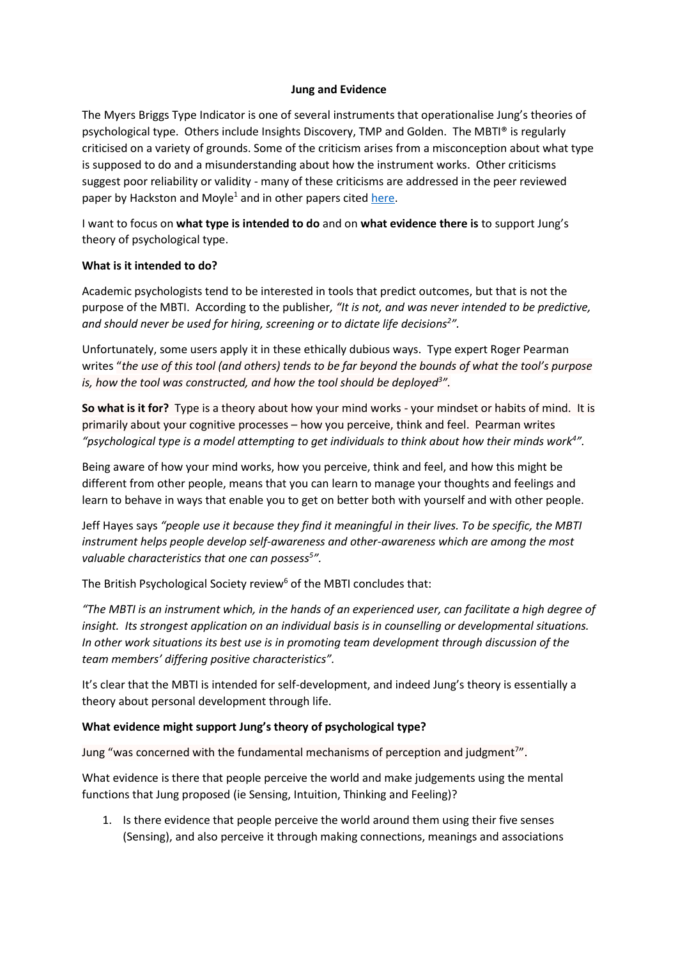## **Jung and Evidence**

The Myers Briggs Type Indicator is one of several instruments that operationalise Jung's theories of psychological type. Others include Insights Discovery, TMP and Golden. The MBTI® is regularly criticised on a variety of grounds. Some of the criticism arises from a misconception about what type is supposed to do and a misunderstanding about how the instrument works. Other criticisms suggest poor reliability or validity - many of these criticisms are addressed in the peer reviewed paper by Hackston and Moyle<sup>1</sup> and in other papers cited [here.](https://eu.themyersbriggs.com/en/tools/MBTI)

I want to focus on **what type is intended to do** and on **what evidence there is** to support Jung's theory of psychological type.

## **What is it intended to do?**

Academic psychologists tend to be interested in tools that predict outcomes, but that is not the purpose of the MBTI. According to the publisher*, "It is not, and was never intended to be predictive, and should never be used for hiring, screening or to dictate life decisions<sup>2</sup> ".*

Unfortunately, some users apply it in these ethically dubious ways. Type expert Roger Pearman writes "*the use of this tool (and others) tends to be far beyond the bounds of what the tool's purpose is, how the tool was constructed, and how the tool should be deployed<sup>3</sup> ".*

**So what is it for?** Type is a theory about how your mind works - your mindset or habits of mind. It is primarily about your cognitive processes – how you perceive, think and feel. Pearman writes *"psychological type is a model attempting to get individuals to think about how their minds work<sup>4</sup> ".*

Being aware of how your mind works, how you perceive, think and feel, and how this might be different from other people, means that you can learn to manage your thoughts and feelings and learn to behave in ways that enable you to get on better both with yourself and with other people.

Jeff Hayes says *"people use it because they find it meaningful in their lives. To be specific, the MBTI instrument helps people develop self-awareness and other-awareness which are among the most valuable characteristics that one can possess<sup>5</sup> ".*

The British Psychological Society review<sup>6</sup> of the MBTI concludes that:

*"The MBTI is an instrument which, in the hands of an experienced user, can facilitate a high degree of insight. Its strongest application on an individual basis is in counselling or developmental situations. In other work situations its best use is in promoting team development through discussion of the team members' differing positive characteristics".*

It's clear that the MBTI is intended for self-development, and indeed Jung's theory is essentially a theory about personal development through life.

## **What evidence might support Jung's theory of psychological type?**

Jung "was concerned with the fundamental mechanisms of perception and judgment<sup>7"</sup>.

What evidence is there that people perceive the world and make judgements using the mental functions that Jung proposed (ie Sensing, Intuition, Thinking and Feeling)?

1. Is there evidence that people perceive the world around them using their five senses (Sensing), and also perceive it through making connections, meanings and associations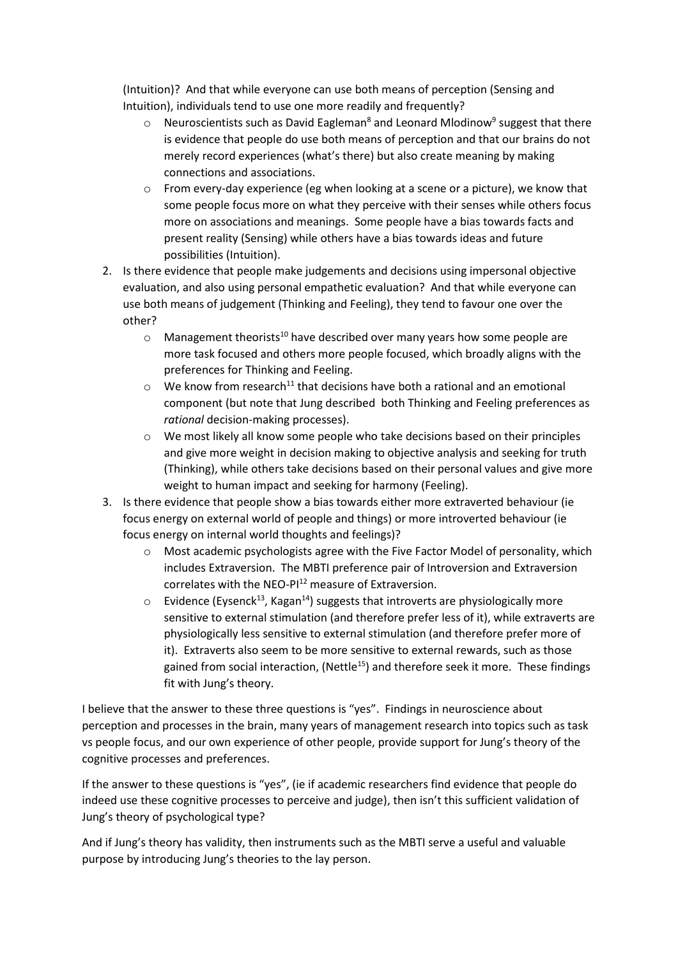(Intuition)? And that while everyone can use both means of perception (Sensing and Intuition), individuals tend to use one more readily and frequently?

- $\circ$  Neuroscientists such as David Eagleman<sup>8</sup> and Leonard Mlodinow<sup>9</sup> suggest that there is evidence that people do use both means of perception and that our brains do not merely record experiences (what's there) but also create meaning by making connections and associations.
- $\circ$  From every-day experience (eg when looking at a scene or a picture), we know that some people focus more on what they perceive with their senses while others focus more on associations and meanings. Some people have a bias towards facts and present reality (Sensing) while others have a bias towards ideas and future possibilities (Intuition).
- 2. Is there evidence that people make judgements and decisions using impersonal objective evaluation, and also using personal empathetic evaluation? And that while everyone can use both means of judgement (Thinking and Feeling), they tend to favour one over the other?
	- $\circ$  Management theorists<sup>10</sup> have described over many years how some people are more task focused and others more people focused, which broadly aligns with the preferences for Thinking and Feeling.
	- $\circ$  We know from research<sup>11</sup> that decisions have both a rational and an emotional component (but note that Jung described both Thinking and Feeling preferences as *rational* decision-making processes).
	- o We most likely all know some people who take decisions based on their principles and give more weight in decision making to objective analysis and seeking for truth (Thinking), while others take decisions based on their personal values and give more weight to human impact and seeking for harmony (Feeling).
- 3. Is there evidence that people show a bias towards either more extraverted behaviour (ie focus energy on external world of people and things) or more introverted behaviour (ie focus energy on internal world thoughts and feelings)?
	- $\circ$  Most academic psychologists agree with the Five Factor Model of personality, which includes Extraversion. The MBTI preference pair of Introversion and Extraversion correlates with the NEO-PI<sup>12</sup> measure of Extraversion.
	- $\circ$  Evidence (Eysenck<sup>13</sup>, Kagan<sup>14</sup>) suggests that introverts are physiologically more sensitive to external stimulation (and therefore prefer less of it), while extraverts are physiologically less sensitive to external stimulation (and therefore prefer more of it). Extraverts also seem to be more sensitive to external rewards, such as those gained from social interaction, (Nettle<sup>15</sup>) and therefore seek it more. These findings fit with Jung's theory.

I believe that the answer to these three questions is "yes". Findings in neuroscience about perception and processes in the brain, many years of management research into topics such as task vs people focus, and our own experience of other people, provide support for Jung's theory of the cognitive processes and preferences.

If the answer to these questions is "yes", (ie if academic researchers find evidence that people do indeed use these cognitive processes to perceive and judge), then isn't this sufficient validation of Jung's theory of psychological type?

And if Jung's theory has validity, then instruments such as the MBTI serve a useful and valuable purpose by introducing Jung's theories to the lay person.